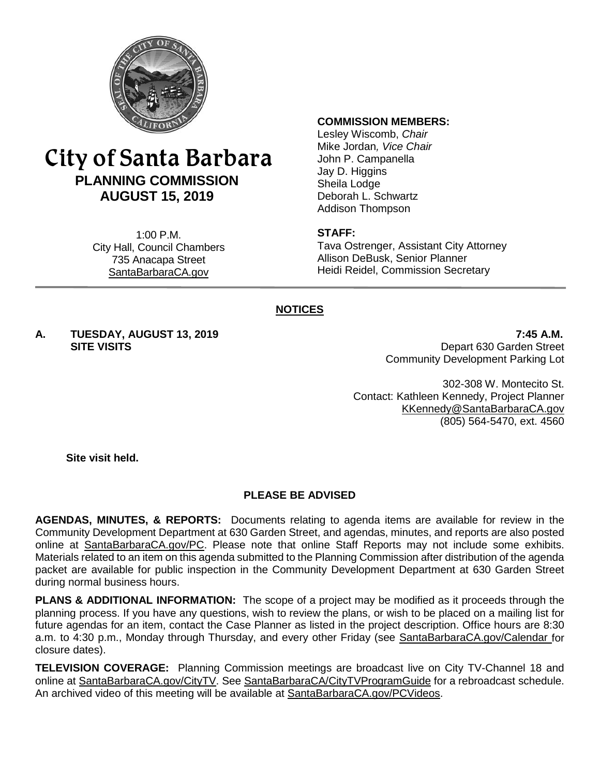

# City of Santa Barbara **PLANNING COMMISSION AUGUST 15, 2019**

1:00 P.M. City Hall, Council Chambers 735 Anacapa Street SantaBarbaraCA.gov

#### **COMMISSION MEMBERS:**

Lesley Wiscomb, *Chair* Mike Jordan*, Vice Chair* John P. Campanella Jay D. Higgins Sheila Lodge Deborah L. Schwartz Addison Thompson

#### **STAFF:**

Tava Ostrenger, Assistant City Attorney Allison DeBusk, Senior Planner Heidi Reidel, Commission Secretary

#### **NOTICES**

**A. TUESDAY, AUGUST 13, 2019 7:45 A.M.**

**SITE VISITS** Depart 630 Garden Street Community Development Parking Lot

> 302-308 W. Montecito St. Contact: Kathleen Kennedy, Project Planner [KKennedy@SantaBarbaraCA.gov](mailto:KKennedy@SantaBarbaraCA.gov) (805) 564-5470, ext. 4560

**Site visit held.**

#### **PLEASE BE ADVISED**

**AGENDAS, MINUTES, & REPORTS:** Documents relating to agenda items are available for review in the Community Development Department at 630 Garden Street, and agendas, minutes, and reports are also posted online at [SantaBarbaraCA.gov/PC.](http://www.santabarbaraca.gov/PC) Please note that online Staff Reports may not include some exhibits. Materials related to an item on this agenda submitted to the Planning Commission after distribution of the agenda packet are available for public inspection in the Community Development Department at 630 Garden Street during normal business hours.

**PLANS & ADDITIONAL INFORMATION:** The scope of a project may be modified as it proceeds through the planning process. If you have any questions, wish to review the plans, or wish to be placed on a mailing list for future agendas for an item, contact the Case Planner as listed in the project description. Office hours are 8:30 a.m. to 4:30 p.m., Monday through Thursday, and every other Friday (see [SantaBarbaraCA.gov/Calendar](http://www.santabarbaraca.gov/cals/default.asp) for closure dates).

**TELEVISION COVERAGE:** Planning Commission meetings are broadcast live on City TV-Channel 18 and online at [SantaBarbaraCA.gov/CityTV.](http://www.santabarbaraca.gov/CityTV) See [SantaBarbaraCA/CityTVProgramGuide](http://www.santabarbaraca.gov/gov/depts/cityadmin/programming.asp) for a rebroadcast schedule. An archived video of this meeting will be available at **SantaBarbaraCA.gov/PCVideos.**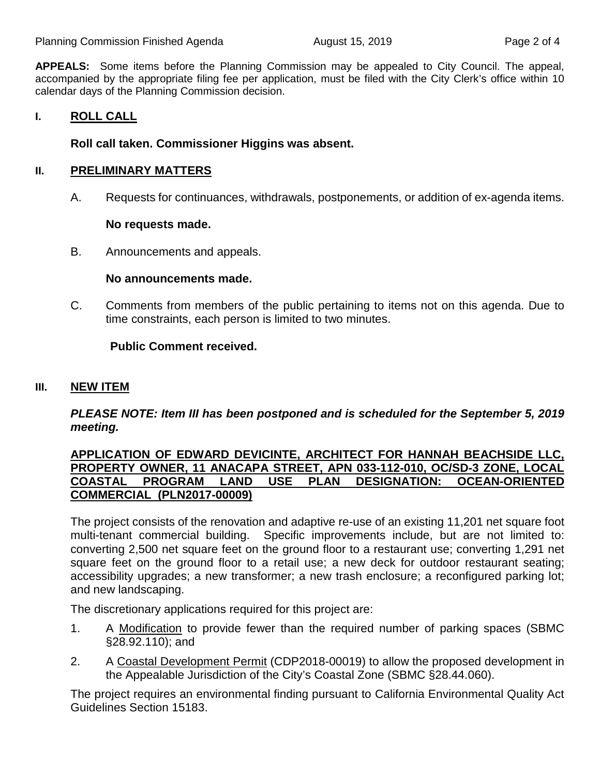**APPEALS:** Some items before the Planning Commission may be appealed to City Council. The appeal, accompanied by the appropriate filing fee per application, must be filed with the City Clerk's office within 10 calendar days of the Planning Commission decision.

#### **I. ROLL CALL**

#### **Roll call taken. Commissioner Higgins was absent.**

#### **II. PRELIMINARY MATTERS**

A. Requests for continuances, withdrawals, postponements, or addition of ex-agenda items.

#### **No requests made.**

B. Announcements and appeals.

#### **No announcements made.**

C. Comments from members of the public pertaining to items not on this agenda. Due to time constraints, each person is limited to two minutes.

#### **Public Comment received.**

#### **III. NEW ITEM**

*PLEASE NOTE: Item III has been postponed and is scheduled for the September 5, 2019 meeting.*

#### **APPLICATION OF EDWARD DEVICINTE, ARCHITECT FOR HANNAH BEACHSIDE LLC, PROPERTY OWNER, 11 ANACAPA STREET, APN 033-112-010, OC/SD-3 ZONE, LOCAL**  PROGRAM LAND USE PLAN DESIGNATION: OCEAN-ORIENTED **COMMERCIAL (PLN2017-00009)**

The project consists of the renovation and adaptive re-use of an existing 11,201 net square foot multi-tenant commercial building. Specific improvements include, but are not limited to: converting 2,500 net square feet on the ground floor to a restaurant use; converting 1,291 net square feet on the ground floor to a retail use; a new deck for outdoor restaurant seating; accessibility upgrades; a new transformer; a new trash enclosure; a reconfigured parking lot; and new landscaping.

The discretionary applications required for this project are:

- 1. A Modification to provide fewer than the required number of parking spaces (SBMC §28.92.110); and
- 2. A Coastal Development Permit (CDP2018-00019) to allow the proposed development in the Appealable Jurisdiction of the City's Coastal Zone (SBMC §28.44.060).

The project requires an environmental finding pursuant to California Environmental Quality Act Guidelines Section 15183.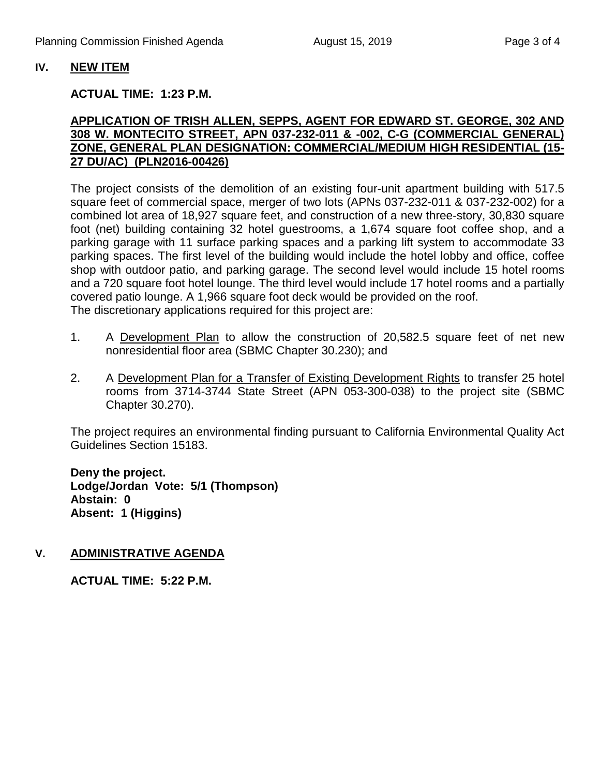#### **IV. NEW ITEM**

#### **ACTUAL TIME: 1:23 P.M.**

#### **APPLICATION OF TRISH ALLEN, SEPPS, AGENT FOR EDWARD ST. GEORGE, 302 AND 308 W. MONTECITO STREET, APN 037-232-011 & -002, C-G (COMMERCIAL GENERAL) ZONE, GENERAL PLAN DESIGNATION: COMMERCIAL/MEDIUM HIGH RESIDENTIAL (15- 27 DU/AC) (PLN2016-00426)**

The project consists of the demolition of an existing four-unit apartment building with 517.5 square feet of commercial space, merger of two lots (APNs 037-232-011 & 037-232-002) for a combined lot area of 18,927 square feet, and construction of a new three-story, 30,830 square foot (net) building containing 32 hotel guestrooms, a 1,674 square foot coffee shop, and a parking garage with 11 surface parking spaces and a parking lift system to accommodate 33 parking spaces. The first level of the building would include the hotel lobby and office, coffee shop with outdoor patio, and parking garage. The second level would include 15 hotel rooms and a 720 square foot hotel lounge. The third level would include 17 hotel rooms and a partially covered patio lounge. A 1,966 square foot deck would be provided on the roof. The discretionary applications required for this project are:

- 1. A Development Plan to allow the construction of 20,582.5 square feet of net new nonresidential floor area (SBMC Chapter 30.230); and
- 2. A Development Plan for a Transfer of Existing Development Rights to transfer 25 hotel rooms from 3714-3744 State Street (APN 053-300-038) to the project site (SBMC Chapter 30.270).

The project requires an environmental finding pursuant to California Environmental Quality Act Guidelines Section 15183.

**Deny the project. Lodge/Jordan Vote: 5/1 (Thompson) Abstain: 0 Absent: 1 (Higgins)**

### **V. ADMINISTRATIVE AGENDA**

**ACTUAL TIME: 5:22 P.M.**